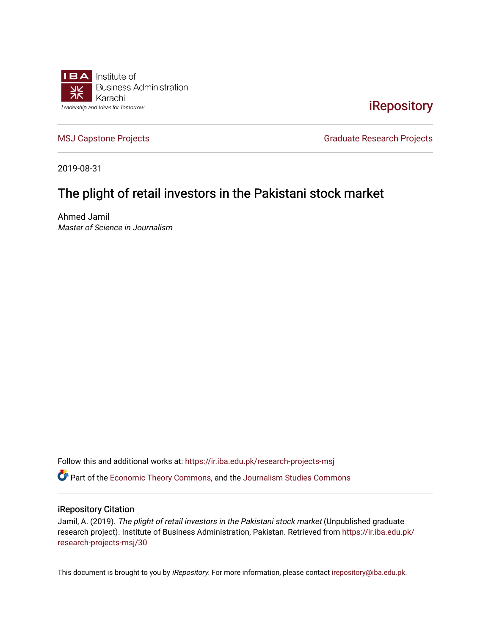

### [iRepository](https://ir.iba.edu.pk/)

[MSJ Capstone Projects](https://ir.iba.edu.pk/research-projects-msj) **Graduate Research Projects** Graduate Research Projects

2019-08-31

## The plight of retail investors in the Pakistani stock market

Ahmed Jamil Master of Science in Journalism

Follow this and additional works at: [https://ir.iba.edu.pk/research-projects-msj](https://ir.iba.edu.pk/research-projects-msj?utm_source=ir.iba.edu.pk%2Fresearch-projects-msj%2F30&utm_medium=PDF&utm_campaign=PDFCoverPages) Part of the [Economic Theory Commons](http://network.bepress.com/hgg/discipline/344?utm_source=ir.iba.edu.pk%2Fresearch-projects-msj%2F30&utm_medium=PDF&utm_campaign=PDFCoverPages), and the [Journalism Studies Commons](http://network.bepress.com/hgg/discipline/333?utm_source=ir.iba.edu.pk%2Fresearch-projects-msj%2F30&utm_medium=PDF&utm_campaign=PDFCoverPages)

#### iRepository Citation

Jamil, A. (2019). The plight of retail investors in the Pakistani stock market (Unpublished graduate research project). Institute of Business Administration, Pakistan. Retrieved from [https://ir.iba.edu.pk/](https://ir.iba.edu.pk/research-projects-msj/30?utm_source=ir.iba.edu.pk%2Fresearch-projects-msj%2F30&utm_medium=PDF&utm_campaign=PDFCoverPages) [research-projects-msj/30](https://ir.iba.edu.pk/research-projects-msj/30?utm_source=ir.iba.edu.pk%2Fresearch-projects-msj%2F30&utm_medium=PDF&utm_campaign=PDFCoverPages) 

This document is brought to you by iRepository. For more information, please contact [irepository@iba.edu.pk](mailto:irepository@iba.edu.pk).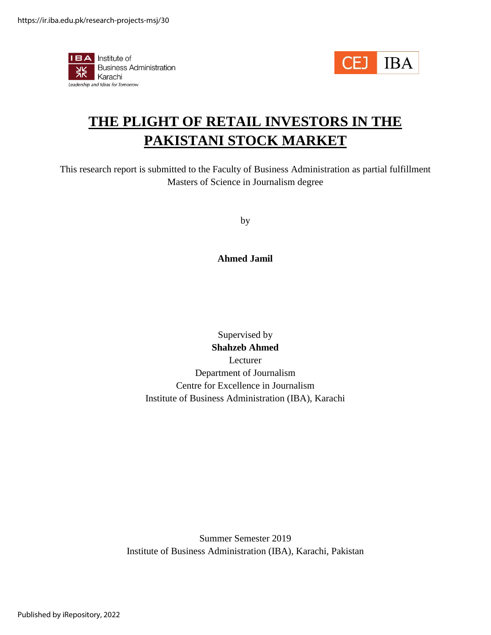



# **THE PLIGHT OF RETAIL INVESTORS IN THE PAKISTANI STOCK MARKET**

This research report is submitted to the Faculty of Business Administration as partial fulfillment Masters of Science in Journalism degree

by

#### **Ahmed Jamil**

### Supervised by **Shahzeb Ahmed** Lecturer Department of Journalism Centre for Excellence in Journalism Institute of Business Administration (IBA), Karachi

Summer Semester 2019 Institute of Business Administration (IBA), Karachi, Pakistan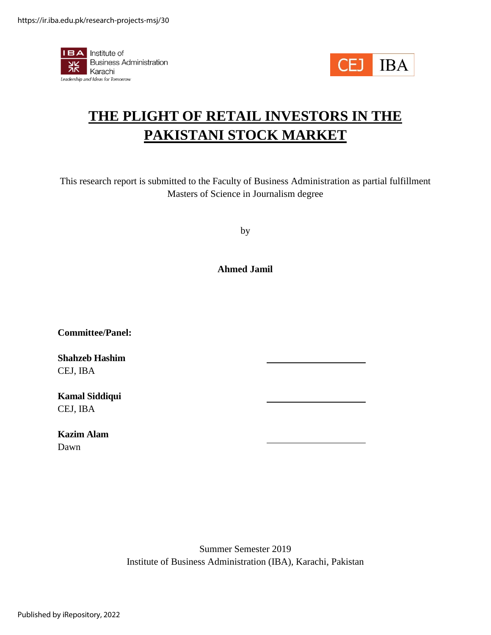



# **THE PLIGHT OF RETAIL INVESTORS IN THE PAKISTANI STOCK MARKET**

This research report is submitted to the Faculty of Business Administration as partial fulfillment Masters of Science in Journalism degree

by

**Ahmed Jamil**

**Committee/Panel:**

**Shahzeb Hashim** CEJ, IBA

**Kamal Siddiqui** CEJ, IBA

**Kazim Alam** Dawn

> Summer Semester 2019 Institute of Business Administration (IBA), Karachi, Pakistan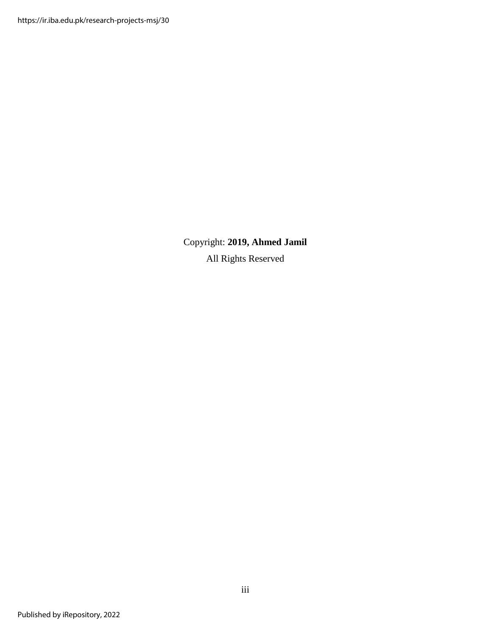https://ir.iba.edu.pk/research-projects-msj/30

Copyright: **2019, Ahmed Jamil** All Rights Reserved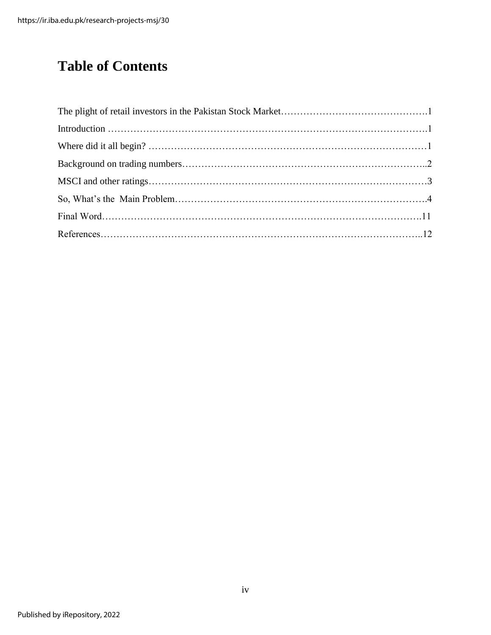# **Table of Contents**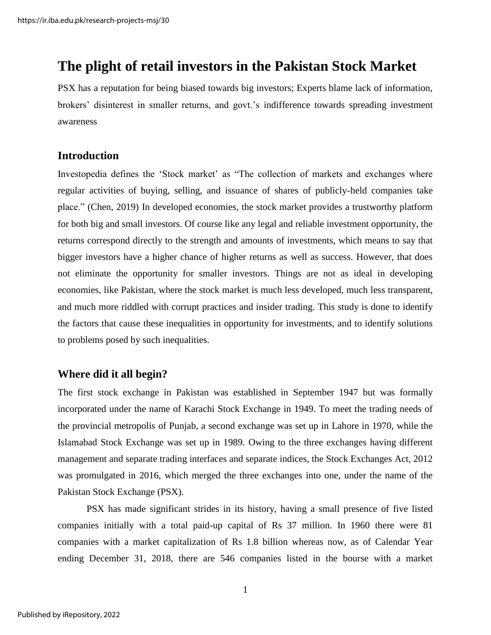# **The plight of retail investors in the Pakistan Stock Market**

PSX has a reputation for being biased towards big investors; Experts blame lack of information, brokers' disinterest in smaller returns, and govt.'s indifference towards spreading investment awareness

### **Introduction**

Investopedia defines the 'Stock market' as "The collection of markets and exchanges where regular activities of buying, selling, and issuance of shares of publicly-held companies take place." (Chen, 2019) In developed economies, the stock market provides a trustworthy platform for both big and small investors. Of course like any legal and reliable investment opportunity, the returns correspond directly to the strength and amounts of investments, which means to say that bigger investors have a higher chance of higher returns as well as success. However, that does not eliminate the opportunity for smaller investors. Things are not as ideal in developing economies, like Pakistan, where the stock market is much less developed, much less transparent, and much more riddled with corrupt practices and insider trading. This study is done to identify the factors that cause these inequalities in opportunity for investments, and to identify solutions to problems posed by such inequalities.

### **Where did it all begin?**

The first stock exchange in Pakistan was established in September 1947 but was formally incorporated under the name of Karachi Stock Exchange in 1949. To meet the trading needs of the provincial metropolis of Punjab, a second exchange was set up in Lahore in 1970, while the Islamabad Stock Exchange was set up in 1989. Owing to the three exchanges having different management and separate trading interfaces and separate indices, the Stock Exchanges Act, 2012 was promulgated in 2016, which merged the three exchanges into one, under the name of the Pakistan Stock Exchange (PSX).

PSX has made significant strides in its history, having a small presence of five listed companies initially with a total paid-up capital of Rs 37 million. In 1960 there were 81 companies with a market capitalization of Rs 1.8 billion whereas now, as of Calendar Year ending December 31, 2018, there are 546 companies listed in the bourse with a market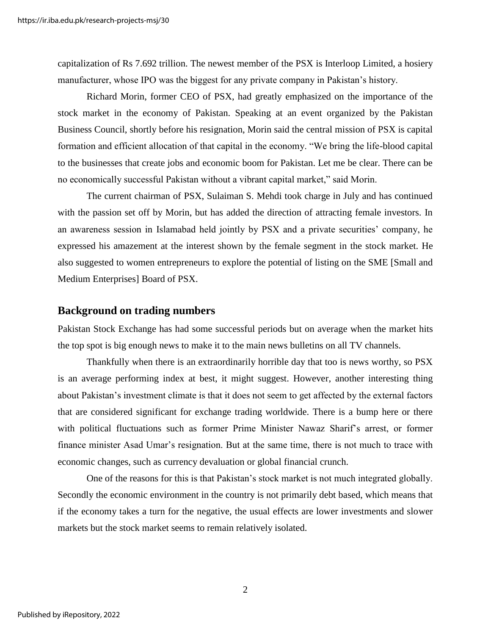capitalization of Rs 7.692 trillion. The newest member of the PSX is Interloop Limited, a hosiery manufacturer, whose IPO was the biggest for any private company in Pakistan's history.

Richard Morin, former CEO of PSX, had greatly emphasized on the importance of the stock market in the economy of Pakistan. Speaking at an event organized by the Pakistan Business Council, shortly before his resignation, Morin said the central mission of PSX is capital formation and efficient allocation of that capital in the economy. "We bring the life-blood capital to the businesses that create jobs and economic boom for Pakistan. Let me be clear. There can be no economically successful Pakistan without a vibrant capital market," said Morin.

The current chairman of PSX, Sulaiman S. Mehdi took charge in July and has continued with the passion set off by Morin, but has added the direction of attracting female investors. In an awareness session in Islamabad held jointly by PSX and a private securities' company, he expressed his amazement at the interest shown by the female segment in the stock market. He also suggested to women entrepreneurs to explore the potential of listing on the SME [Small and Medium Enterprises] Board of PSX.

#### **Background on trading numbers**

Pakistan Stock Exchange has had some successful periods but on average when the market hits the top spot is big enough news to make it to the main news bulletins on all TV channels.

Thankfully when there is an extraordinarily horrible day that too is news worthy, so PSX is an average performing index at best, it might suggest. However, another interesting thing about Pakistan's investment climate is that it does not seem to get affected by the external factors that are considered significant for exchange trading worldwide. There is a bump here or there with political fluctuations such as former Prime Minister Nawaz Sharif's arrest, or former finance minister Asad Umar's resignation. But at the same time, there is not much to trace with economic changes, such as currency devaluation or global financial crunch.

One of the reasons for this is that Pakistan's stock market is not much integrated globally. Secondly the economic environment in the country is not primarily debt based, which means that if the economy takes a turn for the negative, the usual effects are lower investments and slower markets but the stock market seems to remain relatively isolated.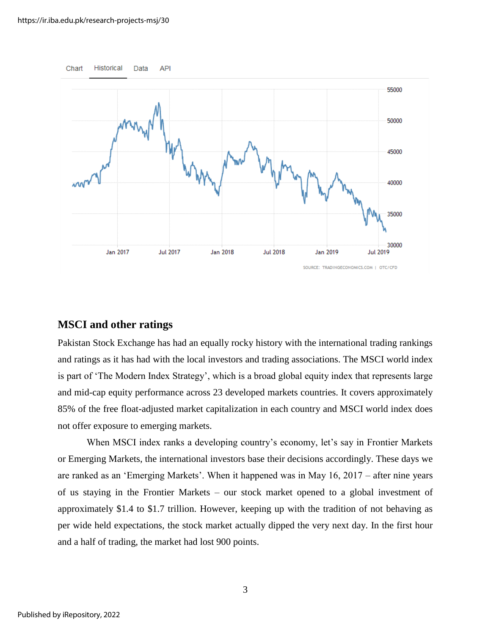

#### **MSCI and other ratings**

Pakistan Stock Exchange has had an equally rocky history with the international trading rankings and ratings as it has had with the local investors and trading associations. The MSCI world index is part of 'The Modern Index Strategy', which is a broad global equity index that represents large and mid-cap equity performance across 23 developed markets countries. It covers approximately 85% of the free float-adjusted market capitalization in each country and MSCI world index does not offer exposure to emerging markets.

When MSCI index ranks a developing country's economy, let's say in Frontier Markets or Emerging Markets, the international investors base their decisions accordingly. These days we are ranked as an 'Emerging Markets'. When it happened was in May 16, 2017 – after nine years of us staying in the Frontier Markets – our stock market opened to a global investment of approximately \$1.4 to \$1.7 trillion. However, keeping up with the tradition of not behaving as per wide held expectations, the stock market actually dipped the very next day. In the first hour and a half of trading, the market had lost 900 points.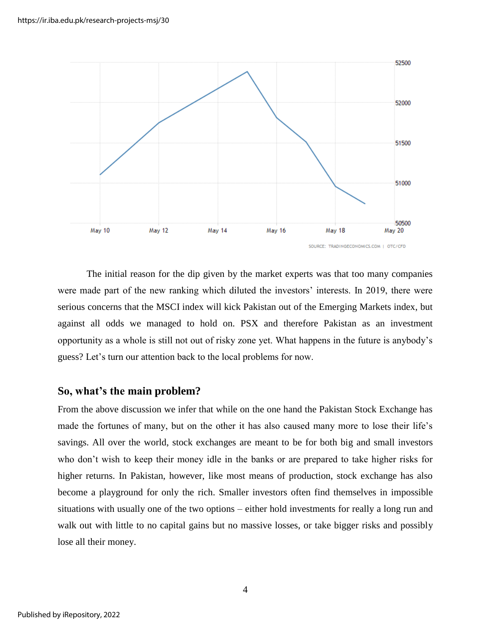

The initial reason for the dip given by the market experts was that too many companies were made part of the new ranking which diluted the investors' interests. In 2019, there were serious concerns that the MSCI index will kick Pakistan out of the Emerging Markets index, but against all odds we managed to hold on. PSX and therefore Pakistan as an investment opportunity as a whole is still not out of risky zone yet. What happens in the future is anybody's guess? Let's turn our attention back to the local problems for now.

#### **So, what's the main problem?**

From the above discussion we infer that while on the one hand the Pakistan Stock Exchange has made the fortunes of many, but on the other it has also caused many more to lose their life's savings. All over the world, stock exchanges are meant to be for both big and small investors who don't wish to keep their money idle in the banks or are prepared to take higher risks for higher returns. In Pakistan, however, like most means of production, stock exchange has also become a playground for only the rich. Smaller investors often find themselves in impossible situations with usually one of the two options – either hold investments for really a long run and walk out with little to no capital gains but no massive losses, or take bigger risks and possibly lose all their money.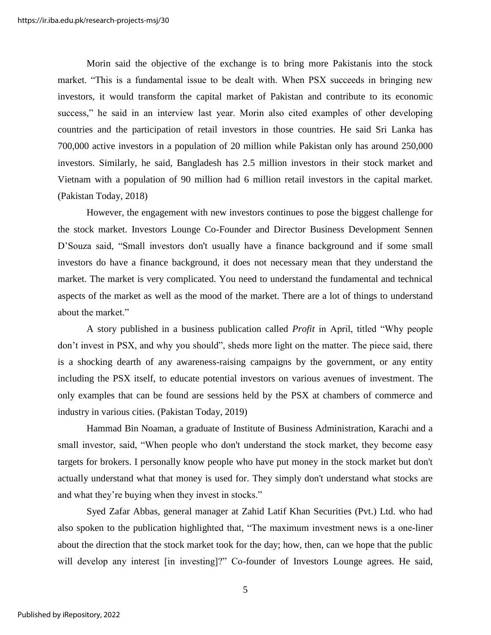Morin said the objective of the exchange is to bring more Pakistanis into the stock market. "This is a fundamental issue to be dealt with. When PSX succeeds in bringing new investors, it would transform the capital market of Pakistan and contribute to its economic success," he said in an interview last year. Morin also cited examples of other developing countries and the participation of retail investors in those countries. He said Sri Lanka has 700,000 active investors in a population of 20 million while Pakistan only has around 250,000 investors. Similarly, he said, Bangladesh has 2.5 million investors in their stock market and Vietnam with a population of 90 million had 6 million retail investors in the capital market. (Pakistan Today, 2018)

However, the engagement with new investors continues to pose the biggest challenge for the stock market. Investors Lounge Co-Founder and Director Business Development Sennen D'Souza said, "Small investors don't usually have a finance background and if some small investors do have a finance background, it does not necessary mean that they understand the market. The market is very complicated. You need to understand the fundamental and technical aspects of the market as well as the mood of the market. There are a lot of things to understand about the market."

A story published in a business publication called *Profit* in April, titled "Why people don't invest in PSX, and why you should", sheds more light on the matter. The piece said, there is a shocking dearth of any awareness-raising campaigns by the government, or any entity including the PSX itself, to educate potential investors on various avenues of investment. The only examples that can be found are sessions held by the PSX at chambers of commerce and industry in various cities. (Pakistan Today, 2019)

Hammad Bin Noaman, a graduate of Institute of Business Administration, Karachi and a small investor, said, "When people who don't understand the stock market, they become easy targets for brokers. I personally know people who have put money in the stock market but don't actually understand what that money is used for. They simply don't understand what stocks are and what they're buying when they invest in stocks."

Syed Zafar Abbas, general manager at Zahid Latif Khan Securities (Pvt.) Ltd. who had also spoken to the publication highlighted that, "The maximum investment news is a one-liner about the direction that the stock market took for the day; how, then, can we hope that the public will develop any interest [in investing]?" Co-founder of Investors Lounge agrees. He said,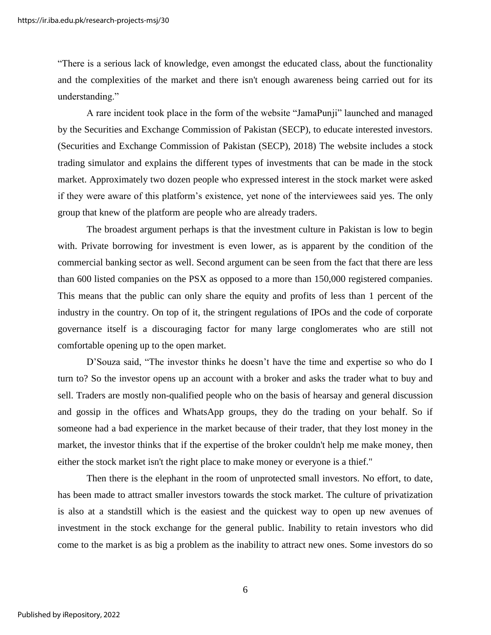"There is a serious lack of knowledge, even amongst the educated class, about the functionality and the complexities of the market and there isn't enough awareness being carried out for its understanding."

A rare incident took place in the form of the website "JamaPunji" launched and managed by the Securities and Exchange Commission of Pakistan (SECP), to educate interested investors. (Securities and Exchange Commission of Pakistan (SECP), 2018) The website includes a stock trading simulator and explains the different types of investments that can be made in the stock market. Approximately two dozen people who expressed interest in the stock market were asked if they were aware of this platform's existence, yet none of the interviewees said yes. The only group that knew of the platform are people who are already traders.

The broadest argument perhaps is that the investment culture in Pakistan is low to begin with. Private borrowing for investment is even lower, as is apparent by the condition of the commercial banking sector as well. Second argument can be seen from the fact that there are less than 600 listed companies on the PSX as opposed to a more than 150,000 registered companies. This means that the public can only share the equity and profits of less than 1 percent of the industry in the country. On top of it, the stringent regulations of IPOs and the code of corporate governance itself is a discouraging factor for many large conglomerates who are still not comfortable opening up to the open market.

D'Souza said, "The investor thinks he doesn't have the time and expertise so who do I turn to? So the investor opens up an account with a broker and asks the trader what to buy and sell. Traders are mostly non-qualified people who on the basis of hearsay and general discussion and gossip in the offices and WhatsApp groups, they do the trading on your behalf. So if someone had a bad experience in the market because of their trader, that they lost money in the market, the investor thinks that if the expertise of the broker couldn't help me make money, then either the stock market isn't the right place to make money or everyone is a thief."

Then there is the elephant in the room of unprotected small investors. No effort, to date, has been made to attract smaller investors towards the stock market. The culture of privatization is also at a standstill which is the easiest and the quickest way to open up new avenues of investment in the stock exchange for the general public. Inability to retain investors who did come to the market is as big a problem as the inability to attract new ones. Some investors do so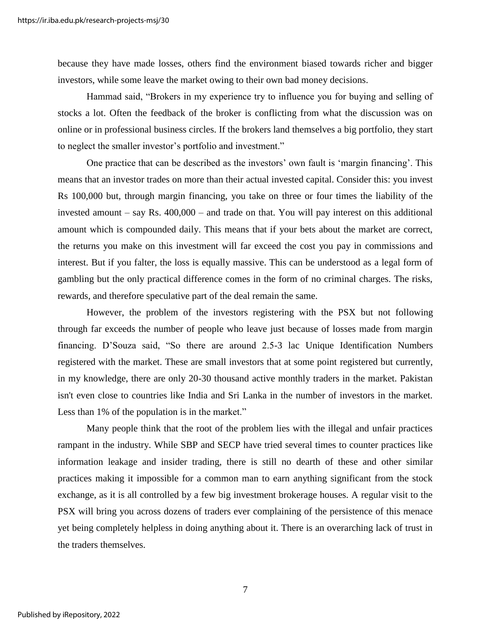because they have made losses, others find the environment biased towards richer and bigger investors, while some leave the market owing to their own bad money decisions.

Hammad said, "Brokers in my experience try to influence you for buying and selling of stocks a lot. Often the feedback of the broker is conflicting from what the discussion was on online or in professional business circles. If the brokers land themselves a big portfolio, they start to neglect the smaller investor's portfolio and investment."

One practice that can be described as the investors' own fault is 'margin financing'. This means that an investor trades on more than their actual invested capital. Consider this: you invest Rs 100,000 but, through margin financing, you take on three or four times the liability of the invested amount – say Rs. 400,000 – and trade on that. You will pay interest on this additional amount which is compounded daily. This means that if your bets about the market are correct, the returns you make on this investment will far exceed the cost you pay in commissions and interest. But if you falter, the loss is equally massive. This can be understood as a legal form of gambling but the only practical difference comes in the form of no criminal charges. The risks, rewards, and therefore speculative part of the deal remain the same.

However, the problem of the investors registering with the PSX but not following through far exceeds the number of people who leave just because of losses made from margin financing. D'Souza said, "So there are around 2.5-3 lac Unique Identification Numbers registered with the market. These are small investors that at some point registered but currently, in my knowledge, there are only 20-30 thousand active monthly traders in the market. Pakistan isn't even close to countries like India and Sri Lanka in the number of investors in the market. Less than 1% of the population is in the market."

Many people think that the root of the problem lies with the illegal and unfair practices rampant in the industry. While SBP and SECP have tried several times to counter practices like information leakage and insider trading, there is still no dearth of these and other similar practices making it impossible for a common man to earn anything significant from the stock exchange, as it is all controlled by a few big investment brokerage houses. A regular visit to the PSX will bring you across dozens of traders ever complaining of the persistence of this menace yet being completely helpless in doing anything about it. There is an overarching lack of trust in the traders themselves.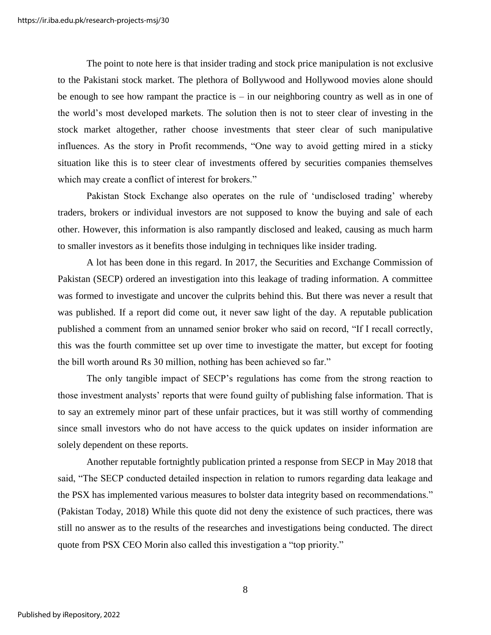The point to note here is that insider trading and stock price manipulation is not exclusive to the Pakistani stock market. The plethora of Bollywood and Hollywood movies alone should be enough to see how rampant the practice is  $-$  in our neighboring country as well as in one of the world's most developed markets. The solution then is not to steer clear of investing in the stock market altogether, rather choose investments that steer clear of such manipulative influences. As the story in Profit recommends, "One way to avoid getting mired in a sticky situation like this is to steer clear of investments offered by securities companies themselves which may create a conflict of interest for brokers."

Pakistan Stock Exchange also operates on the rule of 'undisclosed trading' whereby traders, brokers or individual investors are not supposed to know the buying and sale of each other. However, this information is also rampantly disclosed and leaked, causing as much harm to smaller investors as it benefits those indulging in techniques like insider trading.

A lot has been done in this regard. In 2017, the Securities and Exchange Commission of Pakistan (SECP) ordered an investigation into this leakage of trading information. A committee was formed to investigate and uncover the culprits behind this. But there was never a result that was published. If a report did come out, it never saw light of the day. A reputable publication published a comment from an unnamed senior broker who said on record, "If I recall correctly, this was the fourth committee set up over time to investigate the matter, but except for footing the bill worth around Rs 30 million, nothing has been achieved so far."

The only tangible impact of SECP's regulations has come from the strong reaction to those investment analysts' reports that were found guilty of publishing false information. That is to say an extremely minor part of these unfair practices, but it was still worthy of commending since small investors who do not have access to the quick updates on insider information are solely dependent on these reports.

Another reputable fortnightly publication printed a response from SECP in May 2018 that said, "The SECP conducted detailed inspection in relation to rumors regarding data leakage and the PSX has implemented various measures to bolster data integrity based on recommendations." (Pakistan Today, 2018) While this quote did not deny the existence of such practices, there was still no answer as to the results of the researches and investigations being conducted. The direct quote from PSX CEO Morin also called this investigation a "top priority."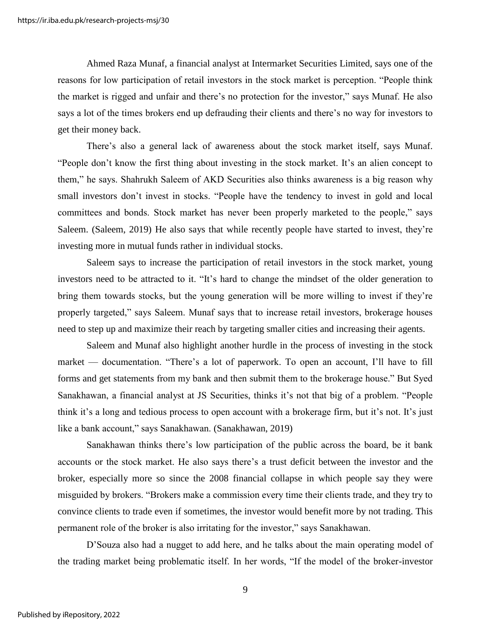Ahmed Raza Munaf, a financial analyst at Intermarket Securities Limited, says one of the reasons for low participation of retail investors in the stock market is perception. "People think the market is rigged and unfair and there's no protection for the investor," says Munaf. He also says a lot of the times brokers end up defrauding their clients and there's no way for investors to get their money back.

There's also a general lack of awareness about the stock market itself, says Munaf. "People don't know the first thing about investing in the stock market. It's an alien concept to them," he says. Shahrukh Saleem of AKD Securities also thinks awareness is a big reason why small investors don't invest in stocks. "People have the tendency to invest in gold and local committees and bonds. Stock market has never been properly marketed to the people," says Saleem. (Saleem, 2019) He also says that while recently people have started to invest, they're investing more in mutual funds rather in individual stocks.

Saleem says to increase the participation of retail investors in the stock market, young investors need to be attracted to it. "It's hard to change the mindset of the older generation to bring them towards stocks, but the young generation will be more willing to invest if they're properly targeted," says Saleem. Munaf says that to increase retail investors, brokerage houses need to step up and maximize their reach by targeting smaller cities and increasing their agents.

Saleem and Munaf also highlight another hurdle in the process of investing in the stock market — documentation. "There's a lot of paperwork. To open an account, I'll have to fill forms and get statements from my bank and then submit them to the brokerage house." But Syed Sanakhawan, a financial analyst at JS Securities, thinks it's not that big of a problem. "People think it's a long and tedious process to open account with a brokerage firm, but it's not. It's just like a bank account," says Sanakhawan. (Sanakhawan, 2019)

Sanakhawan thinks there's low participation of the public across the board, be it bank accounts or the stock market. He also says there's a trust deficit between the investor and the broker, especially more so since the 2008 financial collapse in which people say they were misguided by brokers. "Brokers make a commission every time their clients trade, and they try to convince clients to trade even if sometimes, the investor would benefit more by not trading. This permanent role of the broker is also irritating for the investor," says Sanakhawan.

D'Souza also had a nugget to add here, and he talks about the main operating model of the trading market being problematic itself. In her words, "If the model of the broker-investor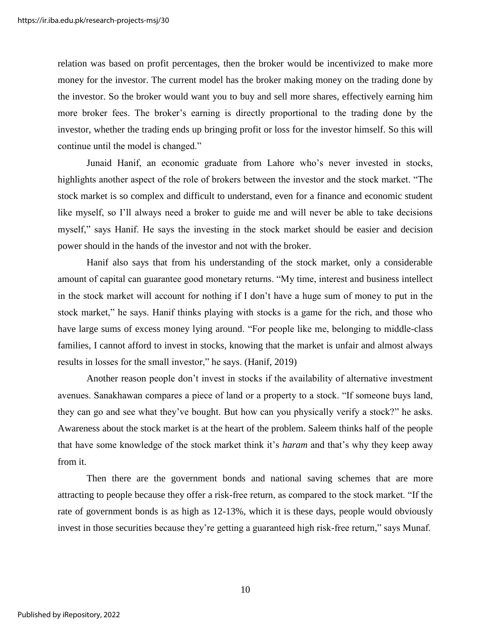relation was based on profit percentages, then the broker would be incentivized to make more money for the investor. The current model has the broker making money on the trading done by the investor. So the broker would want you to buy and sell more shares, effectively earning him more broker fees. The broker's earning is directly proportional to the trading done by the investor, whether the trading ends up bringing profit or loss for the investor himself. So this will continue until the model is changed."

Junaid Hanif, an economic graduate from Lahore who's never invested in stocks, highlights another aspect of the role of brokers between the investor and the stock market. "The stock market is so complex and difficult to understand, even for a finance and economic student like myself, so I'll always need a broker to guide me and will never be able to take decisions myself," says Hanif. He says the investing in the stock market should be easier and decision power should in the hands of the investor and not with the broker.

Hanif also says that from his understanding of the stock market, only a considerable amount of capital can guarantee good monetary returns. "My time, interest and business intellect in the stock market will account for nothing if I don't have a huge sum of money to put in the stock market," he says. Hanif thinks playing with stocks is a game for the rich, and those who have large sums of excess money lying around. "For people like me, belonging to middle-class families, I cannot afford to invest in stocks, knowing that the market is unfair and almost always results in losses for the small investor," he says. (Hanif, 2019)

Another reason people don't invest in stocks if the availability of alternative investment avenues. Sanakhawan compares a piece of land or a property to a stock. "If someone buys land, they can go and see what they've bought. But how can you physically verify a stock?" he asks. Awareness about the stock market is at the heart of the problem. Saleem thinks half of the people that have some knowledge of the stock market think it's *haram* and that's why they keep away from it.

Then there are the government bonds and national saving schemes that are more attracting to people because they offer a risk-free return, as compared to the stock market. "If the rate of government bonds is as high as 12-13%, which it is these days, people would obviously invest in those securities because they're getting a guaranteed high risk-free return," says Munaf.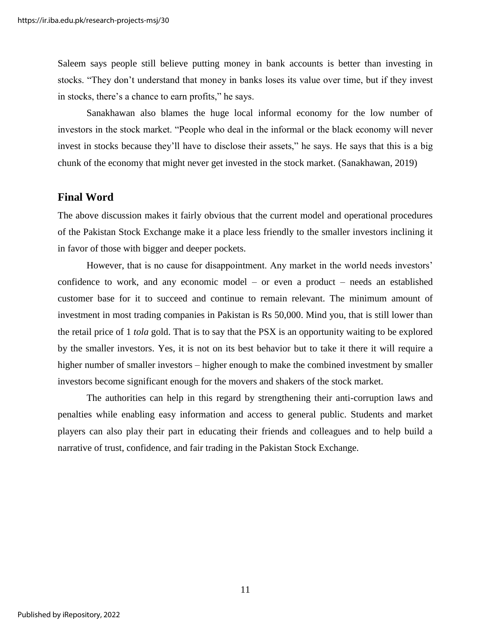Saleem says people still believe putting money in bank accounts is better than investing in stocks. "They don't understand that money in banks loses its value over time, but if they invest in stocks, there's a chance to earn profits," he says.

Sanakhawan also blames the huge local informal economy for the low number of investors in the stock market. "People who deal in the informal or the black economy will never invest in stocks because they'll have to disclose their assets," he says. He says that this is a big chunk of the economy that might never get invested in the stock market. (Sanakhawan, 2019)

#### **Final Word**

The above discussion makes it fairly obvious that the current model and operational procedures of the Pakistan Stock Exchange make it a place less friendly to the smaller investors inclining it in favor of those with bigger and deeper pockets.

However, that is no cause for disappointment. Any market in the world needs investors' confidence to work, and any economic model – or even a product – needs an established customer base for it to succeed and continue to remain relevant. The minimum amount of investment in most trading companies in Pakistan is Rs 50,000. Mind you, that is still lower than the retail price of 1 *tola* gold. That is to say that the PSX is an opportunity waiting to be explored by the smaller investors. Yes, it is not on its best behavior but to take it there it will require a higher number of smaller investors – higher enough to make the combined investment by smaller investors become significant enough for the movers and shakers of the stock market.

The authorities can help in this regard by strengthening their anti-corruption laws and penalties while enabling easy information and access to general public. Students and market players can also play their part in educating their friends and colleagues and to help build a narrative of trust, confidence, and fair trading in the Pakistan Stock Exchange.